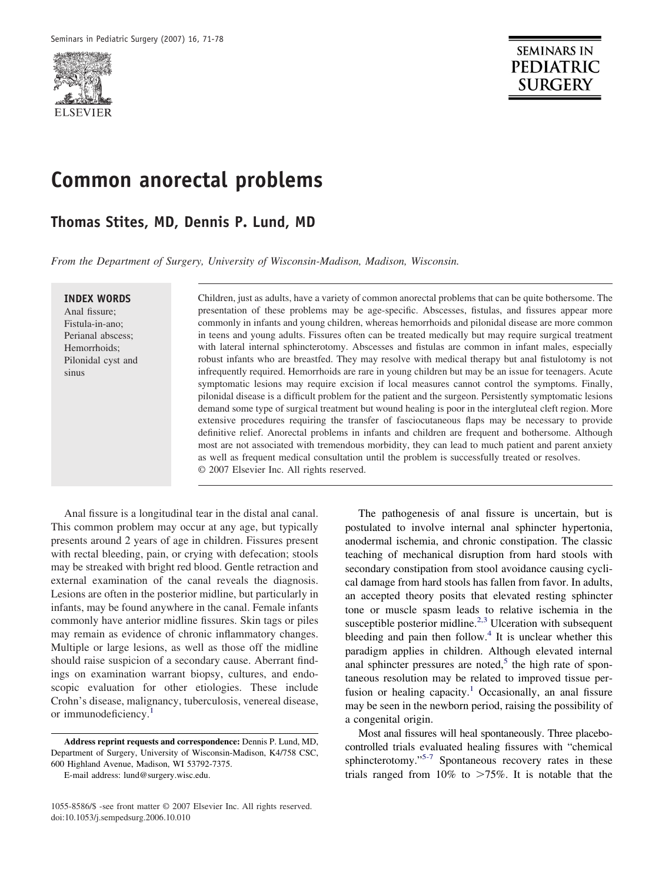



# **Common anorectal problems**

## **Thomas Stites, MD, Dennis P. Lund, MD**

*From the Department of Surgery, University of Wisconsin-Madison, Madison, Wisconsin.*

#### **INDEX WORDS**

Anal fissure; Fistula-in-ano; Perianal abscess; Hemorrhoids; Pilonidal cyst and sinus

Children, just as adults, have a variety of common anorectal problems that can be quite bothersome. The presentation of these problems may be age-specific. Abscesses, fistulas, and fissures appear more commonly in infants and young children, whereas hemorrhoids and pilonidal disease are more common in teens and young adults. Fissures often can be treated medically but may require surgical treatment with lateral internal sphincterotomy. Abscesses and fistulas are common in infant males, especially robust infants who are breastfed. They may resolve with medical therapy but anal fistulotomy is not infrequently required. Hemorrhoids are rare in young children but may be an issue for teenagers. Acute symptomatic lesions may require excision if local measures cannot control the symptoms. Finally, pilonidal disease is a difficult problem for the patient and the surgeon. Persistently symptomatic lesions demand some type of surgical treatment but wound healing is poor in the intergluteal cleft region. More extensive procedures requiring the transfer of fasciocutaneous flaps may be necessary to provide definitive relief. Anorectal problems in infants and children are frequent and bothersome. Although most are not associated with tremendous morbidity, they can lead to much patient and parent anxiety as well as frequent medical consultation until the problem is successfully treated or resolves. © 2007 Elsevier Inc. All rights reserved.

Anal fissure is a longitudinal tear in the distal anal canal. This common problem may occur at any age, but typically presents around 2 years of age in children. Fissures present with rectal bleeding, pain, or crying with defecation; stools may be streaked with bright red blood. Gentle retraction and external examination of the canal reveals the diagnosis. Lesions are often in the posterior midline, but particularly in infants, may be found anywhere in the canal. Female infants commonly have anterior midline fissures. Skin tags or piles may remain as evidence of chronic inflammatory changes. Multiple or large lesions, as well as those off the midline should raise suspicion of a secondary cause. Aberrant findings on examination warrant biopsy, cultures, and endoscopic evaluation for other etiologies. These include Crohn's disease, malignancy, tuberculosis, venereal disease, or immunodeficiency.<sup>[1](#page-5-0)</sup>

**Address reprint requests and correspondence:** Dennis P. Lund, MD, Department of Surgery, University of Wisconsin-Madison, K4/758 CSC, 600 Highland Avenue, Madison, WI 53792-7375.

E-mail address: lund@surgery.wisc.edu.

The pathogenesis of anal fissure is uncertain, but is postulated to involve internal anal sphincter hypertonia, anodermal ischemia, and chronic constipation. The classic teaching of mechanical disruption from hard stools with secondary constipation from stool avoidance causing cyclical damage from hard stools has fallen from favor. In adults, an accepted theory posits that elevated resting sphincter tone or muscle spasm leads to relative ischemia in the susceptible posterior midline.<sup>[2,3](#page-5-0)</sup> Ulceration with subsequent bleeding and pain then follow.<sup>[4](#page-5-0)</sup> It is unclear whether this paradigm applies in children. Although elevated internal anal sphincter pressures are noted, $5$  the high rate of spontaneous resolution may be related to improved tissue per-fusion or healing capacity.<sup>[1](#page-5-0)</sup> Occasionally, an anal fissure may be seen in the newborn period, raising the possibility of a congenital origin.

Most anal fissures will heal spontaneously. Three placebocontrolled trials evaluated healing fissures with "chemical sphincterotomy."<sup>[5-7](#page-5-0)</sup> Spontaneous recovery rates in these trials ranged from  $10\%$  to  $>75\%$ . It is notable that the

<sup>1055-8586/\$ -</sup>see front matter © 2007 Elsevier Inc. All rights reserved. doi:10.1053/j.sempedsurg.2006.10.010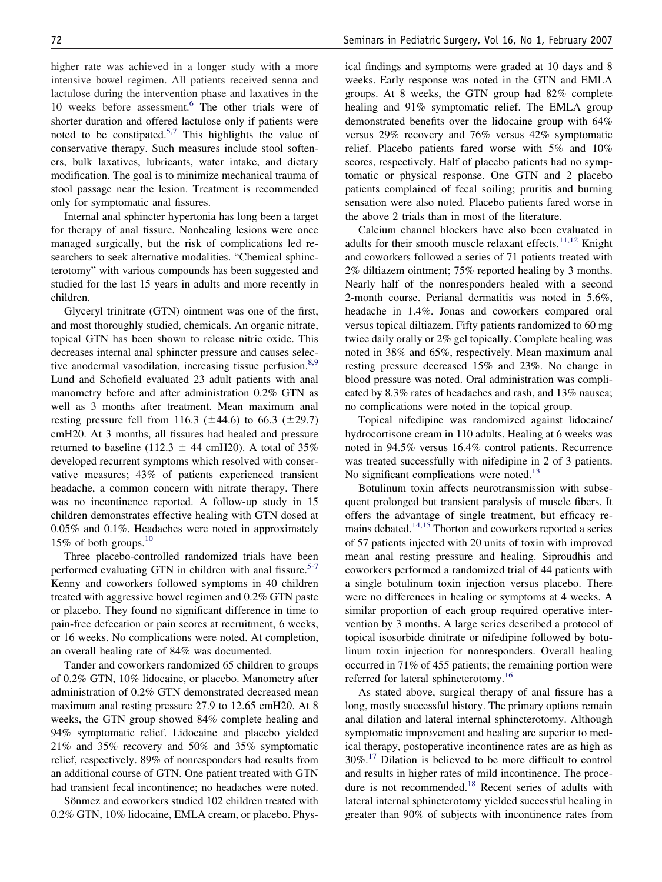higher rate was achieved in a longer study with a more intensive bowel regimen. All patients received senna and lactulose during the intervention phase and laxatives in the 10 weeks before assessment.<sup>[6](#page-5-0)</sup> The other trials were of shorter duration and offered lactulose only if patients were noted to be constipated.<sup>[5,7](#page-5-0)</sup> This highlights the value of conservative therapy. Such measures include stool softeners, bulk laxatives, lubricants, water intake, and dietary modification. The goal is to minimize mechanical trauma of stool passage near the lesion. Treatment is recommended only for symptomatic anal fissures.

Internal anal sphincter hypertonia has long been a target for therapy of anal fissure. Nonhealing lesions were once managed surgically, but the risk of complications led researchers to seek alternative modalities. "Chemical sphincterotomy" with various compounds has been suggested and studied for the last 15 years in adults and more recently in children.

Glyceryl trinitrate (GTN) ointment was one of the first, and most thoroughly studied, chemicals. An organic nitrate, topical GTN has been shown to release nitric oxide. This decreases internal anal sphincter pressure and causes selec-tive anodermal vasodilation, increasing tissue perfusion.<sup>[8,9](#page-6-0)</sup> Lund and Schofield evaluated 23 adult patients with anal manometry before and after administration 0.2% GTN as well as 3 months after treatment. Mean maximum anal resting pressure fell from 116.3  $(\pm 44.6)$  to 66.3  $(\pm 29.7)$ cmH20. At 3 months, all fissures had healed and pressure returned to baseline (112.3  $\pm$  44 cmH20). A total of 35% developed recurrent symptoms which resolved with conservative measures; 43% of patients experienced transient headache, a common concern with nitrate therapy. There was no incontinence reported. A follow-up study in 15 children demonstrates effective healing with GTN dosed at 0.05% and 0.1%. Headaches were noted in approximately 15% of both groups.[10](#page-6-0)

Three placebo-controlled randomized trials have been performed evaluating GTN in children with anal fissure.<sup>[5-7](#page-5-0)</sup> Kenny and coworkers followed symptoms in 40 children treated with aggressive bowel regimen and 0.2% GTN paste or placebo. They found no significant difference in time to pain-free defecation or pain scores at recruitment, 6 weeks, or 16 weeks. No complications were noted. At completion, an overall healing rate of 84% was documented.

Tander and coworkers randomized 65 children to groups of 0.2% GTN, 10% lidocaine, or placebo. Manometry after administration of 0.2% GTN demonstrated decreased mean maximum anal resting pressure 27.9 to 12.65 cmH20. At 8 weeks, the GTN group showed 84% complete healing and 94% symptomatic relief. Lidocaine and placebo yielded 21% and 35% recovery and 50% and 35% symptomatic relief, respectively. 89% of nonresponders had results from an additional course of GTN. One patient treated with GTN had transient fecal incontinence; no headaches were noted.

Sönmez and coworkers studied 102 children treated with 0.2% GTN, 10% lidocaine, EMLA cream, or placebo. Physical findings and symptoms were graded at 10 days and 8 weeks. Early response was noted in the GTN and EMLA groups. At 8 weeks, the GTN group had 82% complete healing and 91% symptomatic relief. The EMLA group demonstrated benefits over the lidocaine group with 64% versus 29% recovery and 76% versus 42% symptomatic relief. Placebo patients fared worse with 5% and 10% scores, respectively. Half of placebo patients had no symptomatic or physical response. One GTN and 2 placebo patients complained of fecal soiling; pruritis and burning sensation were also noted. Placebo patients fared worse in the above 2 trials than in most of the literature.

Calcium channel blockers have also been evaluated in adults for their smooth muscle relaxant effects.<sup>[11,12](#page-6-0)</sup> Knight and coworkers followed a series of 71 patients treated with 2% diltiazem ointment; 75% reported healing by 3 months. Nearly half of the nonresponders healed with a second 2-month course. Perianal dermatitis was noted in 5.6%, headache in 1.4%. Jonas and coworkers compared oral versus topical diltiazem. Fifty patients randomized to 60 mg twice daily orally or 2% gel topically. Complete healing was noted in 38% and 65%, respectively. Mean maximum anal resting pressure decreased 15% and 23%. No change in blood pressure was noted. Oral administration was complicated by 8.3% rates of headaches and rash, and 13% nausea; no complications were noted in the topical group.

Topical nifedipine was randomized against lidocaine/ hydrocortisone cream in 110 adults. Healing at 6 weeks was noted in 94.5% versus 16.4% control patients. Recurrence was treated successfully with nifedipine in 2 of 3 patients. No significant complications were noted.<sup>[13](#page-6-0)</sup>

Botulinum toxin affects neurotransmission with subsequent prolonged but transient paralysis of muscle fibers. It offers the advantage of single treatment, but efficacy remains debated.[14,15](#page-6-0) Thorton and coworkers reported a series of 57 patients injected with 20 units of toxin with improved mean anal resting pressure and healing. Siproudhis and coworkers performed a randomized trial of 44 patients with a single botulinum toxin injection versus placebo. There were no differences in healing or symptoms at 4 weeks. A similar proportion of each group required operative intervention by 3 months. A large series described a protocol of topical isosorbide dinitrate or nifedipine followed by botulinum toxin injection for nonresponders. Overall healing occurred in 71% of 455 patients; the remaining portion were referred for lateral sphincterotomy.<sup>[16](#page-6-0)</sup>

As stated above, surgical therapy of anal fissure has a long, mostly successful history. The primary options remain anal dilation and lateral internal sphincterotomy. Although symptomatic improvement and healing are superior to medical therapy, postoperative incontinence rates are as high as 30%.[17](#page-6-0) Dilation is believed to be more difficult to control and results in higher rates of mild incontinence. The proce-dure is not recommended.<sup>[18](#page-6-0)</sup> Recent series of adults with lateral internal sphincterotomy yielded successful healing in greater than 90% of subjects with incontinence rates from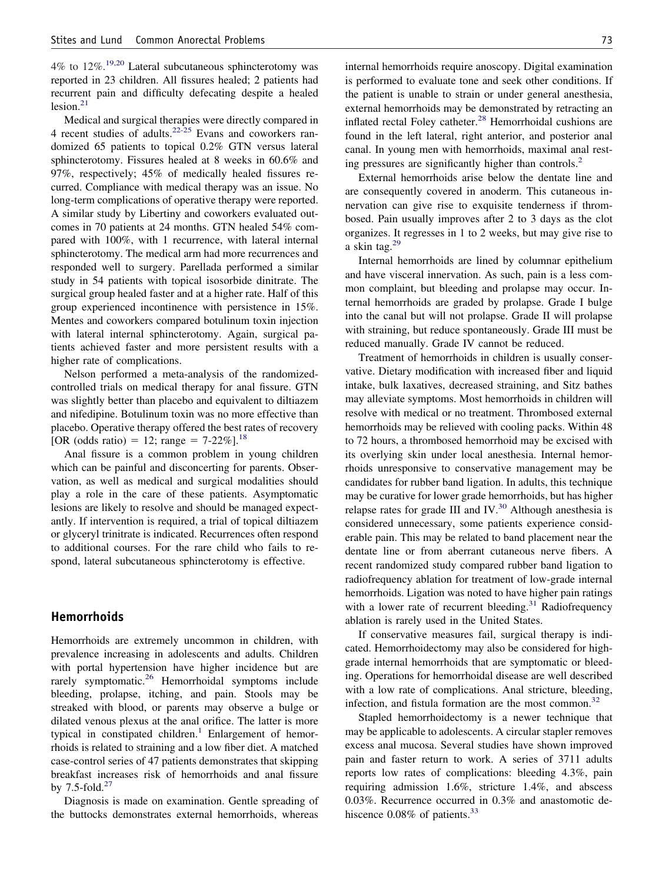$4\%$  to  $12\%$ .<sup>[19,20](#page-6-0)</sup> Lateral subcutaneous sphincterotomy was reported in 23 children. All fissures healed; 2 patients had recurrent pain and difficulty defecating despite a healed  $lesion.<sup>21</sup>$  $lesion.<sup>21</sup>$  $lesion.<sup>21</sup>$ 

Medical and surgical therapies were directly compared in 4 recent studies of adults. $22-25$  Evans and coworkers randomized 65 patients to topical 0.2% GTN versus lateral sphincterotomy. Fissures healed at 8 weeks in 60.6% and 97%, respectively; 45% of medically healed fissures recurred. Compliance with medical therapy was an issue. No long-term complications of operative therapy were reported. A similar study by Libertiny and coworkers evaluated outcomes in 70 patients at 24 months. GTN healed 54% compared with 100%, with 1 recurrence, with lateral internal sphincterotomy. The medical arm had more recurrences and responded well to surgery. Parellada performed a similar study in 54 patients with topical isosorbide dinitrate. The surgical group healed faster and at a higher rate. Half of this group experienced incontinence with persistence in 15%. Mentes and coworkers compared botulinum toxin injection with lateral internal sphincterotomy. Again, surgical patients achieved faster and more persistent results with a higher rate of complications.

Nelson performed a meta-analysis of the randomizedcontrolled trials on medical therapy for anal fissure. GTN was slightly better than placebo and equivalent to diltiazem and nifedipine. Botulinum toxin was no more effective than placebo. Operative therapy offered the best rates of recovery [OR (odds ratio) = 12; range =  $7-22\%$ ].<sup>[18](#page-6-0)</sup>

Anal fissure is a common problem in young children which can be painful and disconcerting for parents. Observation, as well as medical and surgical modalities should play a role in the care of these patients. Asymptomatic lesions are likely to resolve and should be managed expectantly. If intervention is required, a trial of topical diltiazem or glyceryl trinitrate is indicated. Recurrences often respond to additional courses. For the rare child who fails to respond, lateral subcutaneous sphincterotomy is effective.

### **Hemorrhoids**

Hemorrhoids are extremely uncommon in children, with prevalence increasing in adolescents and adults. Children with portal hypertension have higher incidence but are rarely symptomatic.<sup>[26](#page-6-0)</sup> Hemorrhoidal symptoms include bleeding, prolapse, itching, and pain. Stools may be streaked with blood, or parents may observe a bulge or dilated venous plexus at the anal orifice. The latter is more typical in constipated children.<sup>[1](#page-5-0)</sup> Enlargement of hemorrhoids is related to straining and a low fiber diet. A matched case-control series of 47 patients demonstrates that skipping breakfast increases risk of hemorrhoids and anal fissure by  $7.5$ -fold. $27$ 

Diagnosis is made on examination. Gentle spreading of the buttocks demonstrates external hemorrhoids, whereas

internal hemorrhoids require anoscopy. Digital examination is performed to evaluate tone and seek other conditions. If the patient is unable to strain or under general anesthesia, external hemorrhoids may be demonstrated by retracting an inflated rectal Foley catheter.<sup>[28](#page-6-0)</sup> Hemorrhoidal cushions are found in the left lateral, right anterior, and posterior anal canal. In young men with hemorrhoids, maximal anal rest-ing pressures are significantly higher than controls.<sup>[2](#page-5-0)</sup>

External hemorrhoids arise below the dentate line and are consequently covered in anoderm. This cutaneous innervation can give rise to exquisite tenderness if thrombosed. Pain usually improves after 2 to 3 days as the clot organizes. It regresses in 1 to 2 weeks, but may give rise to a skin tag. $^{29}$  $^{29}$  $^{29}$ 

Internal hemorrhoids are lined by columnar epithelium and have visceral innervation. As such, pain is a less common complaint, but bleeding and prolapse may occur. Internal hemorrhoids are graded by prolapse. Grade I bulge into the canal but will not prolapse. Grade II will prolapse with straining, but reduce spontaneously. Grade III must be reduced manually. Grade IV cannot be reduced.

Treatment of hemorrhoids in children is usually conservative. Dietary modification with increased fiber and liquid intake, bulk laxatives, decreased straining, and Sitz bathes may alleviate symptoms. Most hemorrhoids in children will resolve with medical or no treatment. Thrombosed external hemorrhoids may be relieved with cooling packs. Within 48 to 72 hours, a thrombosed hemorrhoid may be excised with its overlying skin under local anesthesia. Internal hemorrhoids unresponsive to conservative management may be candidates for rubber band ligation. In adults, this technique may be curative for lower grade hemorrhoids, but has higher relapse rates for grade III and IV. $^{30}$  $^{30}$  $^{30}$  Although anesthesia is considered unnecessary, some patients experience considerable pain. This may be related to band placement near the dentate line or from aberrant cutaneous nerve fibers. A recent randomized study compared rubber band ligation to radiofrequency ablation for treatment of low-grade internal hemorrhoids. Ligation was noted to have higher pain ratings with a lower rate of recurrent bleeding. $31$  Radiofrequency ablation is rarely used in the United States.

If conservative measures fail, surgical therapy is indicated. Hemorrhoidectomy may also be considered for highgrade internal hemorrhoids that are symptomatic or bleeding. Operations for hemorrhoidal disease are well described with a low rate of complications. Anal stricture, bleeding, infection, and fistula formation are the most common. $32$ 

Stapled hemorrhoidectomy is a newer technique that may be applicable to adolescents. A circular stapler removes excess anal mucosa. Several studies have shown improved pain and faster return to work. A series of 3711 adults reports low rates of complications: bleeding 4.3%, pain requiring admission 1.6%, stricture 1.4%, and abscess 0.03%. Recurrence occurred in 0.3% and anastomotic de-hiscence 0.08% of patients.<sup>[33](#page-6-0)</sup>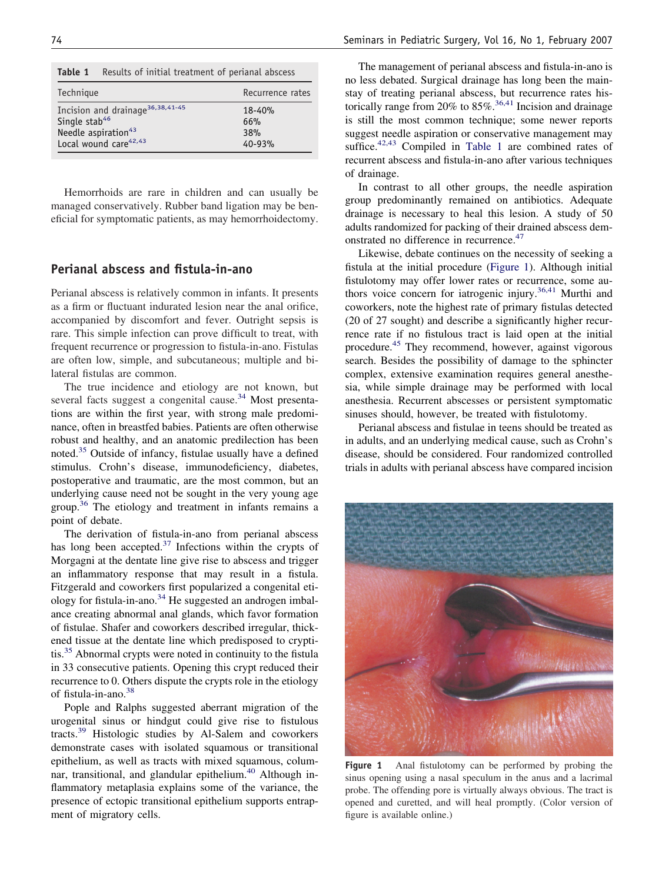|                                                                                                                                                   | <b>Table 1</b> Results of initial treatment of perianal abscess |                                    |
|---------------------------------------------------------------------------------------------------------------------------------------------------|-----------------------------------------------------------------|------------------------------------|
| Technique                                                                                                                                         |                                                                 | Recurrence rates                   |
| Incision and drainage <sup>36,38,41-45</sup><br>Single stab <sup>46</sup><br>Needle aspiration <sup>43</sup><br>Local wound care <sup>42,43</sup> |                                                                 | 18-40%<br>66%<br>38%<br>$40 - 93%$ |

Hemorrhoids are rare in children and can usually be managed conservatively. Rubber band ligation may be beneficial for symptomatic patients, as may hemorrhoidectomy.

### **Perianal abscess and fistula-in-ano**

Perianal abscess is relatively common in infants. It presents as a firm or fluctuant indurated lesion near the anal orifice, accompanied by discomfort and fever. Outright sepsis is rare. This simple infection can prove difficult to treat, with frequent recurrence or progression to fistula-in-ano. Fistulas are often low, simple, and subcutaneous; multiple and bilateral fistulas are common.

The true incidence and etiology are not known, but several facts suggest a congenital cause.<sup>[34](#page-6-0)</sup> Most presentations are within the first year, with strong male predominance, often in breastfed babies. Patients are often otherwise robust and healthy, and an anatomic predilection has been noted.<sup>[35](#page-6-0)</sup> Outside of infancy, fistulae usually have a defined stimulus. Crohn's disease, immunodeficiency, diabetes, postoperative and traumatic, are the most common, but an underlying cause need not be sought in the very young age group.<sup>[36](#page-6-0)</sup> The etiology and treatment in infants remains a point of debate.

The derivation of fistula-in-ano from perianal abscess has long been accepted. $37$  Infections within the crypts of Morgagni at the dentate line give rise to abscess and trigger an inflammatory response that may result in a fistula. Fitzgerald and coworkers first popularized a congenital eti-ology for fistula-in-ano.<sup>[34](#page-6-0)</sup> He suggested an androgen imbalance creating abnormal anal glands, which favor formation of fistulae. Shafer and coworkers described irregular, thickened tissue at the dentate line which predisposed to crypti-tis.<sup>[35](#page-6-0)</sup> Abnormal crypts were noted in continuity to the fistula in 33 consecutive patients. Opening this crypt reduced their recurrence to 0. Others dispute the crypts role in the etiology of fistula-in-ano.<sup>[38](#page-6-0)</sup>

Pople and Ralphs suggested aberrant migration of the urogenital sinus or hindgut could give rise to fistulous tracts.[39](#page-6-0) Histologic studies by Al-Salem and coworkers demonstrate cases with isolated squamous or transitional epithelium, as well as tracts with mixed squamous, colum-nar, transitional, and glandular epithelium.<sup>[40](#page-6-0)</sup> Although inflammatory metaplasia explains some of the variance, the presence of ectopic transitional epithelium supports entrapment of migratory cells.

The management of perianal abscess and fistula-in-ano is no less debated. Surgical drainage has long been the mainstay of treating perianal abscess, but recurrence rates historically range from 20% to  $85\%$ .<sup>[36,41](#page-6-0)</sup> Incision and drainage is still the most common technique; some newer reports suggest needle aspiration or conservative management may suffice.<sup>[42,43](#page-6-0)</sup> Compiled in Table 1 are combined rates of recurrent abscess and fistula-in-ano after various techniques of drainage.

In contrast to all other groups, the needle aspiration group predominantly remained on antibiotics. Adequate drainage is necessary to heal this lesion. A study of 50 adults randomized for packing of their drained abscess demonstrated no difference in recurrence.[47](#page-6-0)

Likewise, debate continues on the necessity of seeking a fistula at the initial procedure (Figure 1). Although initial fistulotomy may offer lower rates or recurrence, some au-thors voice concern for iatrogenic injury.<sup>[36,41](#page-6-0)</sup> Murthi and coworkers, note the highest rate of primary fistulas detected (20 of 27 sought) and describe a significantly higher recurrence rate if no fistulous tract is laid open at the initial procedure.[45](#page-6-0) They recommend, however, against vigorous search. Besides the possibility of damage to the sphincter complex, extensive examination requires general anesthesia, while simple drainage may be performed with local anesthesia. Recurrent abscesses or persistent symptomatic sinuses should, however, be treated with fistulotomy.

Perianal abscess and fistulae in teens should be treated as in adults, and an underlying medical cause, such as Crohn's disease, should be considered. Four randomized controlled trials in adults with perianal abscess have compared incision



**Figure 1** Anal fistulotomy can be performed by probing the sinus opening using a nasal speculum in the anus and a lacrimal probe. The offending pore is virtually always obvious. The tract is opened and curetted, and will heal promptly. (Color version of figure is available online.)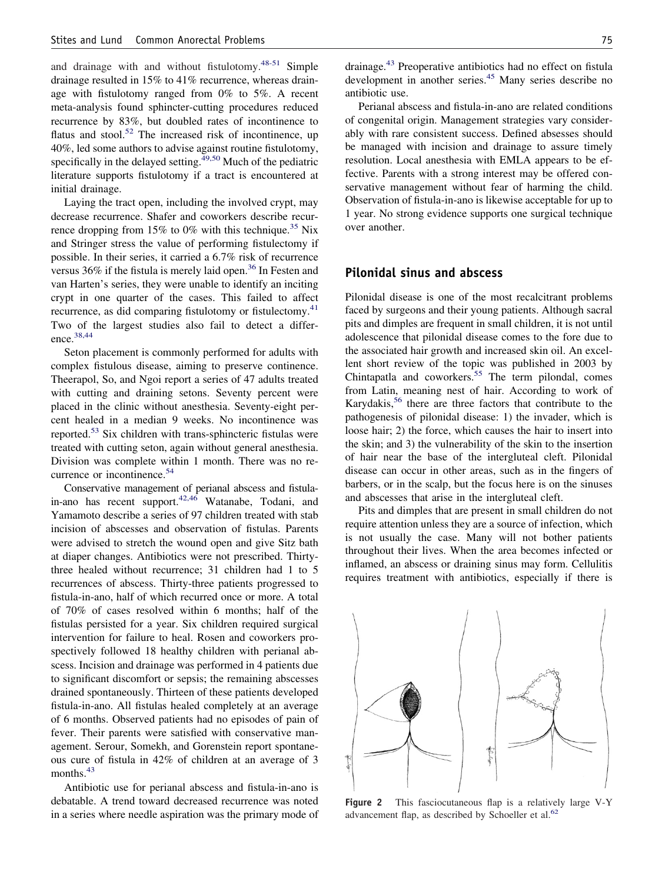<span id="page-4-0"></span>and drainage with and without fistulotomy.<sup>[48-51](#page-6-0)</sup> Simple drainage resulted in 15% to 41% recurrence, whereas drainage with fistulotomy ranged from 0% to 5%. A recent meta-analysis found sphincter-cutting procedures reduced recurrence by 83%, but doubled rates of incontinence to flatus and stool.<sup>[52](#page-6-0)</sup> The increased risk of incontinence, up 40%, led some authors to advise against routine fistulotomy, specifically in the delayed setting.<sup>[49,50](#page-6-0)</sup> Much of the pediatric literature supports fistulotomy if a tract is encountered at initial drainage.

Laying the tract open, including the involved crypt, may decrease recurrence. Shafer and coworkers describe recur-rence dropping from 15% to 0% with this technique.<sup>[35](#page-6-0)</sup> Nix and Stringer stress the value of performing fistulectomy if possible. In their series, it carried a 6.7% risk of recurrence versus  $36\%$  $36\%$  if the fistula is merely laid open.<sup>36</sup> In Festen and van Harten's series, they were unable to identify an inciting crypt in one quarter of the cases. This failed to affect recurrence, as did comparing fistulotomy or fistulectomy.<sup>[41](#page-6-0)</sup> Two of the largest studies also fail to detect a difference.[38,44](#page-6-0)

Seton placement is commonly performed for adults with complex fistulous disease, aiming to preserve continence. Theerapol, So, and Ngoi report a series of 47 adults treated with cutting and draining setons. Seventy percent were placed in the clinic without anesthesia. Seventy-eight percent healed in a median 9 weeks. No incontinence was reported.<sup>[53](#page-6-0)</sup> Six children with trans-sphincteric fistulas were treated with cutting seton, again without general anesthesia. Division was complete within 1 month. There was no re-currence or incontinence.<sup>[54](#page-6-0)</sup>

Conservative management of perianal abscess and fistula-in-ano has recent support.<sup>[42,46](#page-6-0)</sup> Watanabe, Todani, and Yamamoto describe a series of 97 children treated with stab incision of abscesses and observation of fistulas. Parents were advised to stretch the wound open and give Sitz bath at diaper changes. Antibiotics were not prescribed. Thirtythree healed without recurrence; 31 children had 1 to 5 recurrences of abscess. Thirty-three patients progressed to fistula-in-ano, half of which recurred once or more. A total of 70% of cases resolved within 6 months; half of the fistulas persisted for a year. Six children required surgical intervention for failure to heal. Rosen and coworkers prospectively followed 18 healthy children with perianal abscess. Incision and drainage was performed in 4 patients due to significant discomfort or sepsis; the remaining abscesses drained spontaneously. Thirteen of these patients developed fistula-in-ano. All fistulas healed completely at an average of 6 months. Observed patients had no episodes of pain of fever. Their parents were satisfied with conservative management. Serour, Somekh, and Gorenstein report spontaneous cure of fistula in 42% of children at an average of 3 months.<sup>[43](#page-6-0)</sup>

Antibiotic use for perianal abscess and fistula-in-ano is debatable. A trend toward decreased recurrence was noted in a series where needle aspiration was the primary mode of drainage.[43](#page-6-0) Preoperative antibiotics had no effect on fistula development in another series.[45](#page-6-0) Many series describe no antibiotic use.

Perianal abscess and fistula-in-ano are related conditions of congenital origin. Management strategies vary considerably with rare consistent success. Defined absesses should be managed with incision and drainage to assure timely resolution. Local anesthesia with EMLA appears to be effective. Parents with a strong interest may be offered conservative management without fear of harming the child. Observation of fistula-in-ano is likewise acceptable for up to 1 year. No strong evidence supports one surgical technique over another.

#### **Pilonidal sinus and abscess**

Pilonidal disease is one of the most recalcitrant problems faced by surgeons and their young patients. Although sacral pits and dimples are frequent in small children, it is not until adolescence that pilonidal disease comes to the fore due to the associated hair growth and increased skin oil. An excellent short review of the topic was published in 2003 by Chintapatla and coworkers.<sup>[55](#page-6-0)</sup> The term pilondal, comes from Latin, meaning nest of hair. According to work of Karydakis,<sup>[56](#page-6-0)</sup> there are three factors that contribute to the pathogenesis of pilonidal disease: 1) the invader, which is loose hair; 2) the force, which causes the hair to insert into the skin; and 3) the vulnerability of the skin to the insertion of hair near the base of the intergluteal cleft. Pilonidal disease can occur in other areas, such as in the fingers of barbers, or in the scalp, but the focus here is on the sinuses and abscesses that arise in the intergluteal cleft.

Pits and dimples that are present in small children do not require attention unless they are a source of infection, which is not usually the case. Many will not bother patients throughout their lives. When the area becomes infected or inflamed, an abscess or draining sinus may form. Cellulitis requires treatment with antibiotics, especially if there is



**Figure 2** This fasciocutaneous flap is a relatively large V-Y advancement flap, as described by Schoeller et al.<sup>62</sup>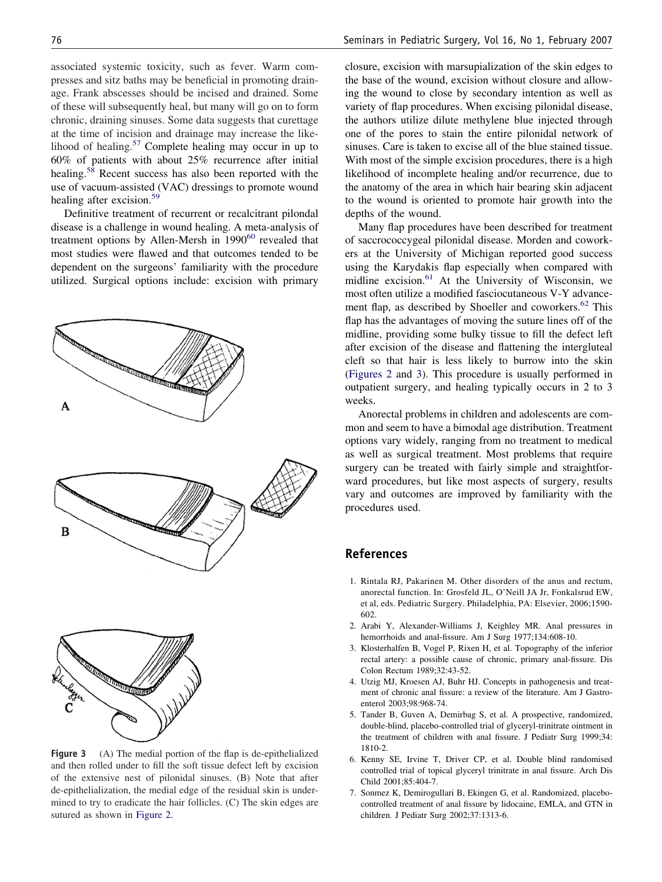<span id="page-5-0"></span>associated systemic toxicity, such as fever. Warm compresses and sitz baths may be beneficial in promoting drainage. Frank abscesses should be incised and drained. Some of these will subsequently heal, but many will go on to form chronic, draining sinuses. Some data suggests that curettage at the time of incision and drainage may increase the likelihood of healing.[57](#page-6-0) Complete healing may occur in up to 60% of patients with about 25% recurrence after initial healing.<sup>[58](#page-7-0)</sup> Recent success has also been reported with the use of vacuum-assisted (VAC) dressings to promote wound healing after excision.<sup>[59](#page-7-0)</sup>

Definitive treatment of recurrent or recalcitrant pilondal disease is a challenge in wound healing. A meta-analysis of treatment options by Allen-Mersh in  $1990^{60}$  $1990^{60}$  $1990^{60}$  revealed that most studies were flawed and that outcomes tended to be dependent on the surgeons' familiarity with the procedure utilized. Surgical options include: excision with primary





**Figure 3** (A) The medial portion of the flap is de-epithelialized and then rolled under to fill the soft tissue defect left by excision of the extensive nest of pilonidal sinuses. (B) Note that after de-epithelialization, the medial edge of the residual skin is undermined to try to eradicate the hair follicles. (C) The skin edges are sutured as shown in [Figure 2.](#page-4-0)

closure, excision with marsupialization of the skin edges to the base of the wound, excision without closure and allowing the wound to close by secondary intention as well as variety of flap procedures. When excising pilonidal disease, the authors utilize dilute methylene blue injected through one of the pores to stain the entire pilonidal network of sinuses. Care is taken to excise all of the blue stained tissue. With most of the simple excision procedures, there is a high likelihood of incomplete healing and/or recurrence, due to the anatomy of the area in which hair bearing skin adjacent to the wound is oriented to promote hair growth into the depths of the wound.

Many flap procedures have been described for treatment of saccrococcygeal pilonidal disease. Morden and coworkers at the University of Michigan reported good success using the Karydakis flap especially when compared with midline excision.<sup>[61](#page-7-0)</sup> At the University of Wisconsin, we most often utilize a modified fasciocutaneous V-Y advance-ment flap, as described by Shoeller and coworkers.<sup>[62](#page-7-0)</sup> This flap has the advantages of moving the suture lines off of the midline, providing some bulky tissue to fill the defect left after excision of the disease and flattening the intergluteal cleft so that hair is less likely to burrow into the skin [\(Figures 2](#page-4-0) and 3). This procedure is usually performed in outpatient surgery, and healing typically occurs in 2 to 3 weeks.

Anorectal problems in children and adolescents are common and seem to have a bimodal age distribution. Treatment options vary widely, ranging from no treatment to medical as well as surgical treatment. Most problems that require surgery can be treated with fairly simple and straightforward procedures, but like most aspects of surgery, results vary and outcomes are improved by familiarity with the procedures used.

#### **References**

- 1. Rintala RJ, Pakarinen M. Other disorders of the anus and rectum, anorectal function. In: Grosfeld JL, O'Neill JA Jr, Fonkalsrud EW, et al, eds. Pediatric Surgery. Philadelphia, PA: Elsevier, 2006;1590- 602.
- 2. Arabi Y, Alexander-Williams J, Keighley MR. Anal pressures in hemorrhoids and anal-fissure. Am J Surg 1977;134:608-10.
- 3. Klosterhalfen B, Vogel P, Rixen H, et al. Topography of the inferior rectal artery: a possible cause of chronic, primary anal-fissure. Dis Colon Rectum 1989;32:43-52.
- 4. Utzig MJ, Kroesen AJ, Buhr HJ. Concepts in pathogenesis and treatment of chronic anal fissure: a review of the literature. Am J Gastroenterol 2003;98:968-74.
- 5. Tander B, Guven A, Demirbag S, et al. A prospective, randomized, double-blind, placebo-controlled trial of glyceryl-trinitrate ointment in the treatment of children with anal fissure. J Pediatr Surg 1999;34: 1810-2.
- 6. Kenny SE, Irvine T, Driver CP, et al. Double blind randomised controlled trial of topical glyceryl trinitrate in anal fissure. Arch Dis Child 2001;85:404-7.
- 7. Sonmez K, Demirogullari B, Ekingen G, et al. Randomized, placebocontrolled treatment of anal fissure by lidocaine, EMLA, and GTN in children. J Pediatr Surg 2002;37:1313-6.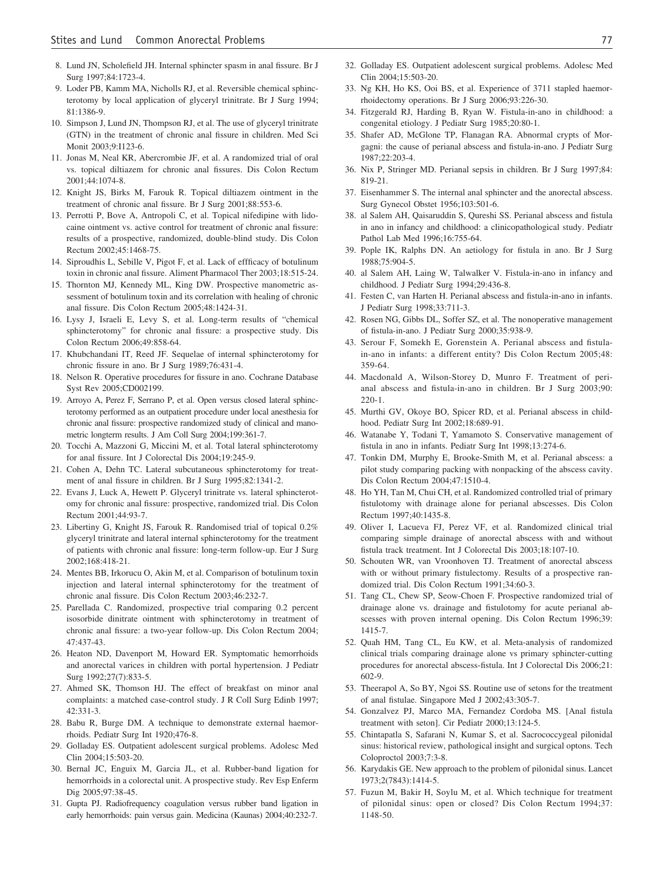- <span id="page-6-0"></span>8. Lund JN, Scholefield JH. Internal sphincter spasm in anal fissure. Br J Surg 1997;84:1723-4.
- 9. Loder PB, Kamm MA, Nicholls RJ, et al. Reversible chemical sphincterotomy by local application of glyceryl trinitrate. Br J Surg 1994; 81:1386-9.
- 10. Simpson J, Lund JN, Thompson RJ, et al. The use of glyceryl trinitrate (GTN) in the treatment of chronic anal fissure in children. Med Sci Monit 2003;9:I123-6.
- 11. Jonas M, Neal KR, Abercrombie JF, et al. A randomized trial of oral vs. topical diltiazem for chronic anal fissures. Dis Colon Rectum 2001;44:1074-8.
- 12. Knight JS, Birks M, Farouk R. Topical diltiazem ointment in the treatment of chronic anal fissure. Br J Surg 2001;88:553-6.
- 13. Perrotti P, Bove A, Antropoli C, et al. Topical nifedipine with lidocaine ointment vs. active control for treatment of chronic anal fissure: results of a prospective, randomized, double-blind study. Dis Colon Rectum 2002;45:1468-75.
- 14. Siproudhis L, Sebille V, Pigot F, et al. Lack of effficacy of botulinum toxin in chronic anal fissure. Aliment Pharmacol Ther 2003;18:515-24.
- 15. Thornton MJ, Kennedy ML, King DW. Prospective manometric assessment of botulinum toxin and its correlation with healing of chronic anal fissure. Dis Colon Rectum 2005;48:1424-31.
- 16. Lysy J, Israeli E, Levy S, et al. Long-term results of "chemical sphincterotomy" for chronic anal fissure: a prospective study. Dis Colon Rectum 2006;49:858-64.
- 17. Khubchandani IT, Reed JF. Sequelae of internal sphincterotomy for chronic fissure in ano. Br J Surg 1989;76:431-4.
- 18. Nelson R. Operative procedures for fissure in ano. Cochrane Database Syst Rev 2005;CD002199.
- 19. Arroyo A, Perez F, Serrano P, et al. Open versus closed lateral sphincterotomy performed as an outpatient procedure under local anesthesia for chronic anal fissure: prospective randomized study of clinical and manometric longterm results. J Am Coll Surg 2004;199:361-7.
- 20. Tocchi A, Mazzoni G, Miccini M, et al. Total lateral sphincterotomy for anal fissure. Int J Colorectal Dis 2004;19:245-9.
- 21. Cohen A, Dehn TC. Lateral subcutaneous sphincterotomy for treatment of anal fissure in children. Br J Surg 1995;82:1341-2.
- 22. Evans J, Luck A, Hewett P. Glyceryl trinitrate vs. lateral sphincterotomy for chronic anal fissure: prospective, randomized trial. Dis Colon Rectum 2001;44:93-7.
- 23. Libertiny G, Knight JS, Farouk R. Randomised trial of topical 0.2% glyceryl trinitrate and lateral internal sphincterotomy for the treatment of patients with chronic anal fissure: long-term follow-up. Eur J Surg 2002;168:418-21.
- 24. Mentes BB, Irkorucu O, Akin M, et al. Comparison of botulinum toxin injection and lateral internal sphincterotomy for the treatment of chronic anal fissure. Dis Colon Rectum 2003;46:232-7.
- 25. Parellada C. Randomized, prospective trial comparing 0.2 percent isosorbide dinitrate ointment with sphincterotomy in treatment of chronic anal fissure: a two-year follow-up. Dis Colon Rectum 2004; 47:437-43.
- 26. Heaton ND, Davenport M, Howard ER. Symptomatic hemorrhoids and anorectal varices in children with portal hypertension. J Pediatr Surg 1992;27(7):833-5.
- 27. Ahmed SK, Thomson HJ. The effect of breakfast on minor anal complaints: a matched case-control study. J R Coll Surg Edinb 1997; 42:331-3.
- 28. Babu R, Burge DM. A technique to demonstrate external haemorrhoids. Pediatr Surg Int 1920;476-8.
- 29. Golladay ES. Outpatient adolescent surgical problems. Adolesc Med Clin 2004;15:503-20.
- 30. Bernal JC, Enguix M, Garcia JL, et al. Rubber-band ligation for hemorrhoids in a colorectal unit. A prospective study. Rev Esp Enferm Dig 2005;97:38-45.
- 31. Gupta PJ. Radiofrequency coagulation versus rubber band ligation in early hemorrhoids: pain versus gain. Medicina (Kaunas) 2004;40:232-7.
- 32. Golladay ES. Outpatient adolescent surgical problems. Adolesc Med Clin 2004;15:503-20.
- 33. Ng KH, Ho KS, Ooi BS, et al. Experience of 3711 stapled haemorrhoidectomy operations. Br J Surg 2006;93:226-30.
- 34. Fitzgerald RJ, Harding B, Ryan W. Fistula-in-ano in childhood: a congenital etiology. J Pediatr Surg 1985;20:80-1.
- 35. Shafer AD, McGlone TP, Flanagan RA. Abnormal crypts of Morgagni: the cause of perianal abscess and fistula-in-ano. J Pediatr Surg 1987;22:203-4.
- 36. Nix P, Stringer MD. Perianal sepsis in children. Br J Surg 1997;84: 819-21.
- 37. Eisenhammer S. The internal anal sphincter and the anorectal abscess. Surg Gynecol Obstet 1956;103:501-6.
- 38. al Salem AH, Qaisaruddin S, Qureshi SS. Perianal abscess and fistula in ano in infancy and childhood: a clinicopathological study. Pediatr Pathol Lab Med 1996;16:755-64.
- 39. Pople IK, Ralphs DN. An aetiology for fistula in ano. Br J Surg 1988;75:904-5.
- 40. al Salem AH, Laing W, Talwalker V. Fistula-in-ano in infancy and childhood. J Pediatr Surg 1994;29:436-8.
- 41. Festen C, van Harten H. Perianal abscess and fistula-in-ano in infants. J Pediatr Surg 1998;33:711-3.
- 42. Rosen NG, Gibbs DL, Soffer SZ, et al. The nonoperative management of fistula-in-ano. J Pediatr Surg 2000;35:938-9.
- 43. Serour F, Somekh E, Gorenstein A. Perianal abscess and fistulain-ano in infants: a different entity? Dis Colon Rectum 2005;48: 359-64.
- 44. Macdonald A, Wilson-Storey D, Munro F. Treatment of perianal abscess and fistula-in-ano in children. Br J Surg 2003;90: 220-1.
- 45. Murthi GV, Okoye BO, Spicer RD, et al. Perianal abscess in childhood. Pediatr Surg Int 2002;18:689-91.
- 46. Watanabe Y, Todani T, Yamamoto S. Conservative management of fistula in ano in infants. Pediatr Surg Int 1998;13:274-6.
- 47. Tonkin DM, Murphy E, Brooke-Smith M, et al. Perianal abscess: a pilot study comparing packing with nonpacking of the abscess cavity. Dis Colon Rectum 2004;47:1510-4.
- 48. Ho YH, Tan M, Chui CH, et al. Randomized controlled trial of primary fistulotomy with drainage alone for perianal abscesses. Dis Colon Rectum 1997;40:1435-8.
- 49. Oliver I, Lacueva FJ, Perez VF, et al. Randomized clinical trial comparing simple drainage of anorectal abscess with and without fistula track treatment. Int J Colorectal Dis 2003;18:107-10.
- 50. Schouten WR, van Vroonhoven TJ. Treatment of anorectal abscess with or without primary fistulectomy. Results of a prospective randomized trial. Dis Colon Rectum 1991;34:60-3.
- 51. Tang CL, Chew SP, Seow-Choen F. Prospective randomized trial of drainage alone vs. drainage and fistulotomy for acute perianal abscesses with proven internal opening. Dis Colon Rectum 1996;39: 1415-7.
- 52. Quah HM, Tang CL, Eu KW, et al. Meta-analysis of randomized clinical trials comparing drainage alone vs primary sphincter-cutting procedures for anorectal abscess-fistula. Int J Colorectal Dis 2006;21: 602-9.
- 53. Theerapol A, So BY, Ngoi SS. Routine use of setons for the treatment of anal fistulae. Singapore Med J 2002;43:305-7.
- 54. Gonzalvez PJ, Marco MA, Fernandez Cordoba MS. [Anal fistula treatment with seton]. Cir Pediatr 2000;13:124-5.
- 55. Chintapatla S, Safarani N, Kumar S, et al. Sacrococcygeal pilonidal sinus: historical review, pathological insight and surgical optons. Tech Coloproctol 2003;7:3-8.
- 56. Karydakis GE. New approach to the problem of pilonidal sinus. Lancet 1973;2(7843):1414-5.
- 57. Fuzun M, Bakir H, Soylu M, et al. Which technique for treatment of pilonidal sinus: open or closed? Dis Colon Rectum 1994;37: 1148-50.